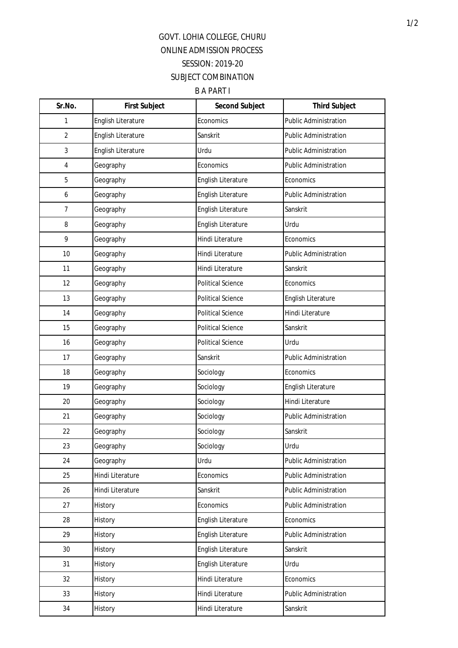## GOVT. LOHIA COLLEGE, CHURU ONLINE ADMISSION PROCESS SESSION: 2019-20 SUBJECT COMBINATION

B A PART I

| Sr.No.         | <b>First Subject</b>      | <b>Second Subject</b>    | <b>Third Subject</b>         |
|----------------|---------------------------|--------------------------|------------------------------|
| 1              | <b>English Literature</b> | Economics                | <b>Public Administration</b> |
| $\overline{2}$ | English Literature        | Sanskrit                 | <b>Public Administration</b> |
| 3              | <b>English Literature</b> | Urdu                     | <b>Public Administration</b> |
| 4              | Geography                 | Economics                | <b>Public Administration</b> |
| 5              | Geography                 | English Literature       | Economics                    |
| 6              | Geography                 | English Literature       | <b>Public Administration</b> |
| $\overline{7}$ | Geography                 | English Literature       | Sanskrit                     |
| 8              | Geography                 | English Literature       | Urdu                         |
| 9              | Geography                 | Hindi Literature         | Economics                    |
| 10             | Geography                 | Hindi Literature         | <b>Public Administration</b> |
| 11             | Geography                 | Hindi Literature         | Sanskrit                     |
| 12             | Geography                 | <b>Political Science</b> | Economics                    |
| 13             | Geography                 | <b>Political Science</b> | English Literature           |
| 14             | Geography                 | <b>Political Science</b> | Hindi Literature             |
| 15             | Geography                 | <b>Political Science</b> | Sanskrit                     |
| 16             | Geography                 | <b>Political Science</b> | Urdu                         |
| 17             | Geography                 | Sanskrit                 | <b>Public Administration</b> |
| 18             | Geography                 | Sociology                | Economics                    |
| 19             | Geography                 | Sociology                | English Literature           |
| 20             | Geography                 | Sociology                | Hindi Literature             |
| 21             | Geography                 | Sociology                | <b>Public Administration</b> |
| 22             | Geography                 | Sociology                | Sanskrit                     |
| 23             | Geography                 | Sociology                | Urdu                         |
| 24             | Geography                 | Urdu                     | Public Administration        |
| 25             | Hindi Literature          | Economics                | Public Administration        |
| 26             | Hindi Literature          | Sanskrit                 | Public Administration        |
| 27             | History                   | Economics                | Public Administration        |
| 28             | History                   | English Literature       | Economics                    |
| 29             | History                   | English Literature       | Public Administration        |
| 30             | History                   | English Literature       | Sanskrit                     |
| 31             | History                   | English Literature       | Urdu                         |
| 32             | History                   | Hindi Literature         | Economics                    |
| 33             | History                   | Hindi Literature         | <b>Public Administration</b> |
| 34             | History                   | Hindi Literature         | Sanskrit                     |